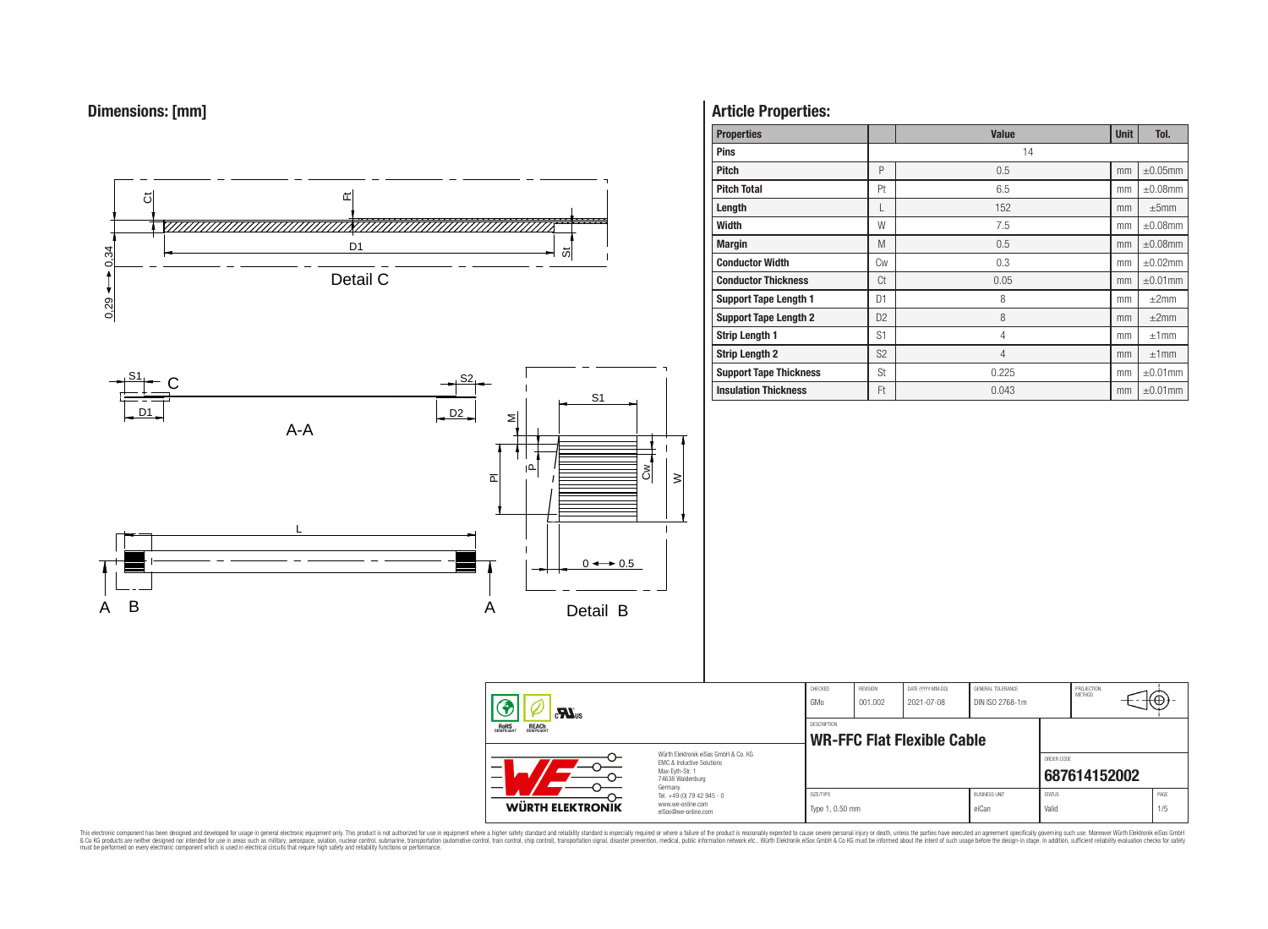



# **Article Properties:**

| <b>Properties</b>             |                | <b>Value</b>   | <b>Unit</b> | Tol.          |
|-------------------------------|----------------|----------------|-------------|---------------|
| <b>Pins</b>                   |                | 14             |             |               |
| <b>Pitch</b>                  | P              | 0.5            | mm          | $\pm 0.05$ mm |
| <b>Pitch Total</b>            | Pt             | 6.5            | mm          | $\pm 0.08$ mm |
| Length                        | L              | 152            | mm          | ±5mm          |
| Width                         | W              | 7.5            | mm          | $\pm 0.08$ mm |
| <b>Margin</b>                 | M              | 0.5            | mm          | $\pm 0.08$ mm |
| <b>Conductor Width</b>        | Cw             | 0.3            | mm          | $\pm 0.02$ mm |
| <b>Conductor Thickness</b>    | Ct             | 0.05           | mm          | $\pm 0.01$ mm |
| <b>Support Tape Length 1</b>  | D1             | 8              | mm          | $\pm 2$ mm    |
| <b>Support Tape Length 2</b>  | D <sub>2</sub> | 8              | mm          | $\pm 2$ mm    |
| <b>Strip Length 1</b>         | S <sub>1</sub> | 4              | mm          | ±1mm          |
| <b>Strip Length 2</b>         | S <sub>2</sub> | $\overline{4}$ | mm          | ±1mm          |
| <b>Support Tape Thickness</b> | St             | 0.225          | mm          | $\pm 0.01$ mm |
| <b>Insulation Thickness</b>   | Ft             | 0.043          | mm          | $\pm 0.01$ mm |

| $\mathbf{M}$ us                                                                                                    |                                                                                   | CHECKED<br>GMo               | <b>REVISION</b><br>001.002 | DATE (YYYY-MM-DD)<br>2021-07-08 | GENERAL TOLERANCE<br>DIN ISO 2768-1m |                        | PROJECTION<br>METHOD | ťΨ          |
|--------------------------------------------------------------------------------------------------------------------|-----------------------------------------------------------------------------------|------------------------------|----------------------------|---------------------------------|--------------------------------------|------------------------|----------------------|-------------|
| <b>ROHS</b><br>COMPLIANT<br><b>REACH</b><br>COMPLIANT                                                              |                                                                                   |                              |                            | WR-FFC Flat Flexible Cable      |                                      |                        |                      |             |
| Würth Elektronik eiSos GmbH & Co. KG<br>FMC & Inductive Solutions<br>-<br>Max-Eyth-Str. 1<br>—<br>74638 Waldenburg |                                                                                   |                              |                            |                                 |                                      | ORDER CODE             | 687614152002         |             |
| <b>WÜRTH ELEKTRONIK</b>                                                                                            | Germany<br>Tel. +49 (0) 79 42 945 - 0<br>www.we-online.com<br>eiSos@we-online.com | SIZE/TYPE<br>Type 1, 0.50 mm |                            |                                 | <b>BUSINESS UNIT</b><br>eiCan        | <b>STATUS</b><br>Valid |                      | PAGE<br>1/5 |

This electronic component has been designed and developed for usage in general electronic equipment only. This product is not authorized for subserved requipment where a higher selection equipment where a higher selection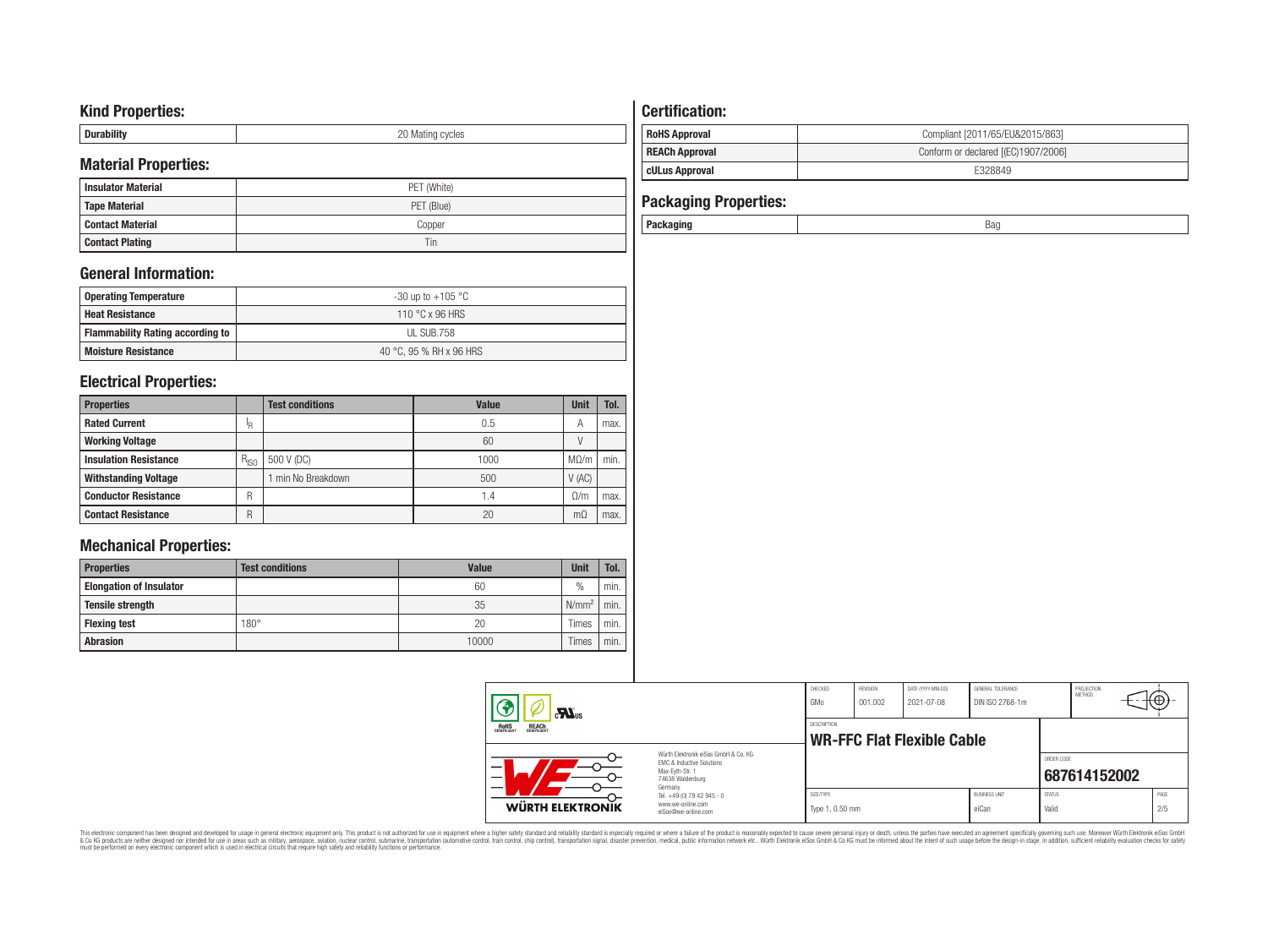# **Kind Properties:**

| --------- | nr<br>∵ycıes<br><b>IVIES LITTLE</b><br>◡ |
|-----------|------------------------------------------|

# **Material Properties:**

| <b>Insulator Material</b> | PET (White) |  |  |  |  |  |  |
|---------------------------|-------------|--|--|--|--|--|--|
| <b>Tape Material</b>      | PET (Blue)  |  |  |  |  |  |  |
| Contact Material          | Copper      |  |  |  |  |  |  |
| <b>Contact Plating</b>    | Tin         |  |  |  |  |  |  |

# **General Information:**

| <b>Operating Temperature</b>            | -30 up to +105 °C       |
|-----------------------------------------|-------------------------|
| <b>Heat Resistance</b>                  | 110 °C x 96 HRS         |
| <b>Flammability Rating according to</b> | UL SUB.758              |
| <b>Moisture Resistance</b>              | 40 °C. 95 % RH x 96 HRS |

# **Electrical Properties:**

| <b>Properties</b>            |           | <b>Test conditions</b> | <b>Value</b>    | <b>Unit</b> | Tol. |
|------------------------------|-----------|------------------------|-----------------|-------------|------|
| <b>Rated Current</b>         | ΙR        |                        | 0.5             | А           | max. |
| <b>Working Voltage</b>       |           |                        | 60              |             |      |
| <b>Insulation Resistance</b> | $R_{ISO}$ | 500 V (DC)             | 1000            | $M\Omega/m$ | min. |
| <b>Withstanding Voltage</b>  |           | min No Breakdown       | 500             | V(AC)       |      |
| <b>Conductor Resistance</b>  | R         |                        | $\mathsf{I}$ .4 | 0/m         | max. |
| <b>Contact Resistance</b>    | R         |                        | 20              | mΩ          | max. |

# **Mechanical Properties:**

| <b>Properties</b>              | <b>Test conditions</b> | <b>Value</b> | <b>Unit</b>   | Tol. |
|--------------------------------|------------------------|--------------|---------------|------|
| <b>Elongation of Insulator</b> |                        | 60           | $\frac{0}{0}$ | min. |
| <b>Tensile strength</b>        |                        | 35           | $N/mm^2$      | min. |
| <b>Flexing test</b>            | $180^\circ$            | 20           | Times         | min. |
| <b>Abrasion</b>                |                        | 10000        | Times         | min. |

# **Certification: RoHS Approval RoHS Approval Compliant** [2011/65/EU&2015/863] **REACh Approval REACh Approval Conform or declared [(EC)1907/2006] cULus Approval** E328849

| <b>Packaging Properties:</b> |     |
|------------------------------|-----|
| Packaging                    | Bad |

| $\mathbf{M}$ <sub>us</sub><br><b>ROHS</b><br>COMPLIANT<br><b>REACH</b><br>COMPLIANT |                                                                                                                     | CHECKED<br>GMo<br><b>DESCRIPTION</b> | REVISION<br>DATE (YYYY-MM-DD)<br>GENERAL TOLERANCE<br>DIN ISO 2768-1m<br>001.002<br>2021-07-08 |                                   |                                 |                        | PROJECTION<br>METHOD<br>ΨΨ. |             |  |
|-------------------------------------------------------------------------------------|---------------------------------------------------------------------------------------------------------------------|--------------------------------------|------------------------------------------------------------------------------------------------|-----------------------------------|---------------------------------|------------------------|-----------------------------|-------------|--|
|                                                                                     | Würth Elektronik eiSos GmbH & Co. KG<br><b>EMC &amp; Inductive Solutions</b><br>Max-Evth-Str. 1<br>74638 Waldenburg |                                      |                                                                                                | <b>WR-FFC Flat Flexible Cable</b> |                                 | ORDER CODE             | 687614152002                |             |  |
| <b>WÜRTH ELEKTRONIK</b>                                                             | Germany<br>Tel. +49 (0) 79 42 945 - 0<br>www.we-online.com<br>eiSos@we-online.com                                   | SIZE/TYPE<br>Type 1, 0.50 mm         |                                                                                                |                                   | <b>BLISINESS LINIT</b><br>eiCan | <b>STATUS</b><br>Valid |                             | PAGE<br>2/5 |  |

This electronic component has been designed and developed for usage in general electronic equipment only. This product is not authorized for subserved requipment where a higher selection equipment where a higher selection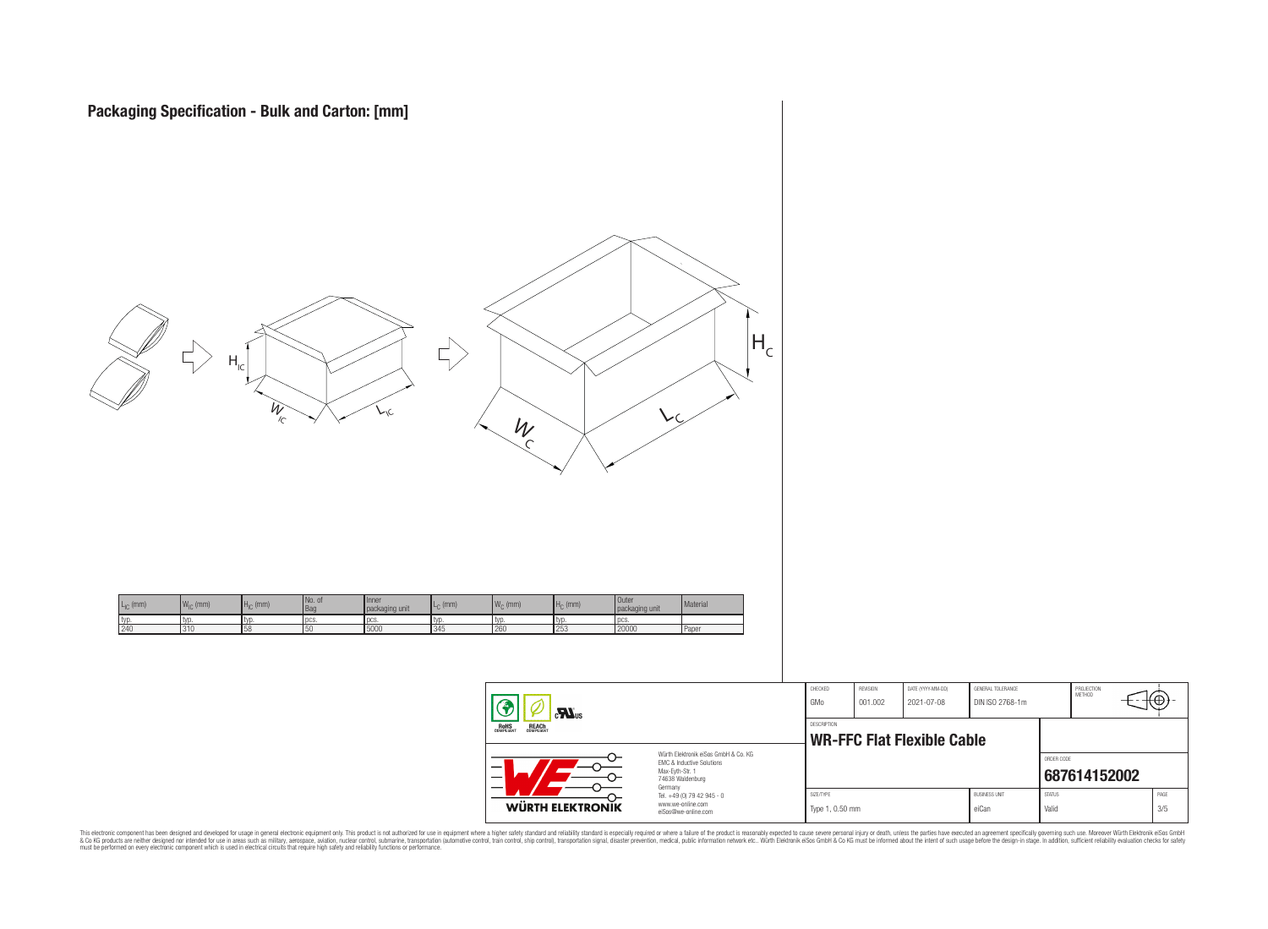

| --<br>ᢕ<br>lΙK | $\overline{O}$<br>74638 Waldenburg<br>Germany<br>Tel. +49 (0) 79 42 945 - 0<br>www.we-online.com |                                      | Type 1, 0.50 mm            |                                   | <b>BLISINESS LINIT</b><br>eiCan      | <b>STATUS</b><br>Valid | 687614152002         |     | PAGE<br>3/5 |  |
|----------------|--------------------------------------------------------------------------------------------------|--------------------------------------|----------------------------|-----------------------------------|--------------------------------------|------------------------|----------------------|-----|-------------|--|
| ᢕ              | Würth Elektronik eiSos GmbH & Co. KG<br><b>EMC &amp; Inductive Solutions</b><br>Max-Evth-Str. 1  |                                      |                            | <b>WR-FFC Flat Flexible Cable</b> |                                      | ORDER CODE             |                      |     |             |  |
|                |                                                                                                  | CHECKED<br>GMo<br><b>DESCRIPTION</b> | <b>REVISION</b><br>001.002 | DATE (YYYY-MM-DD)<br>2021-07-08   | GENERAL TOLERANCE<br>DIN ISO 2768-1m |                        | PROJECTION<br>MFTHOD | τΨ, |             |  |

This electronic component has been designed and developed for usage in general electronic equipment only. This product is not authorized for subserved requipment where a higher selection equipment where a higher selection

**WÜRTH ELEKTRON**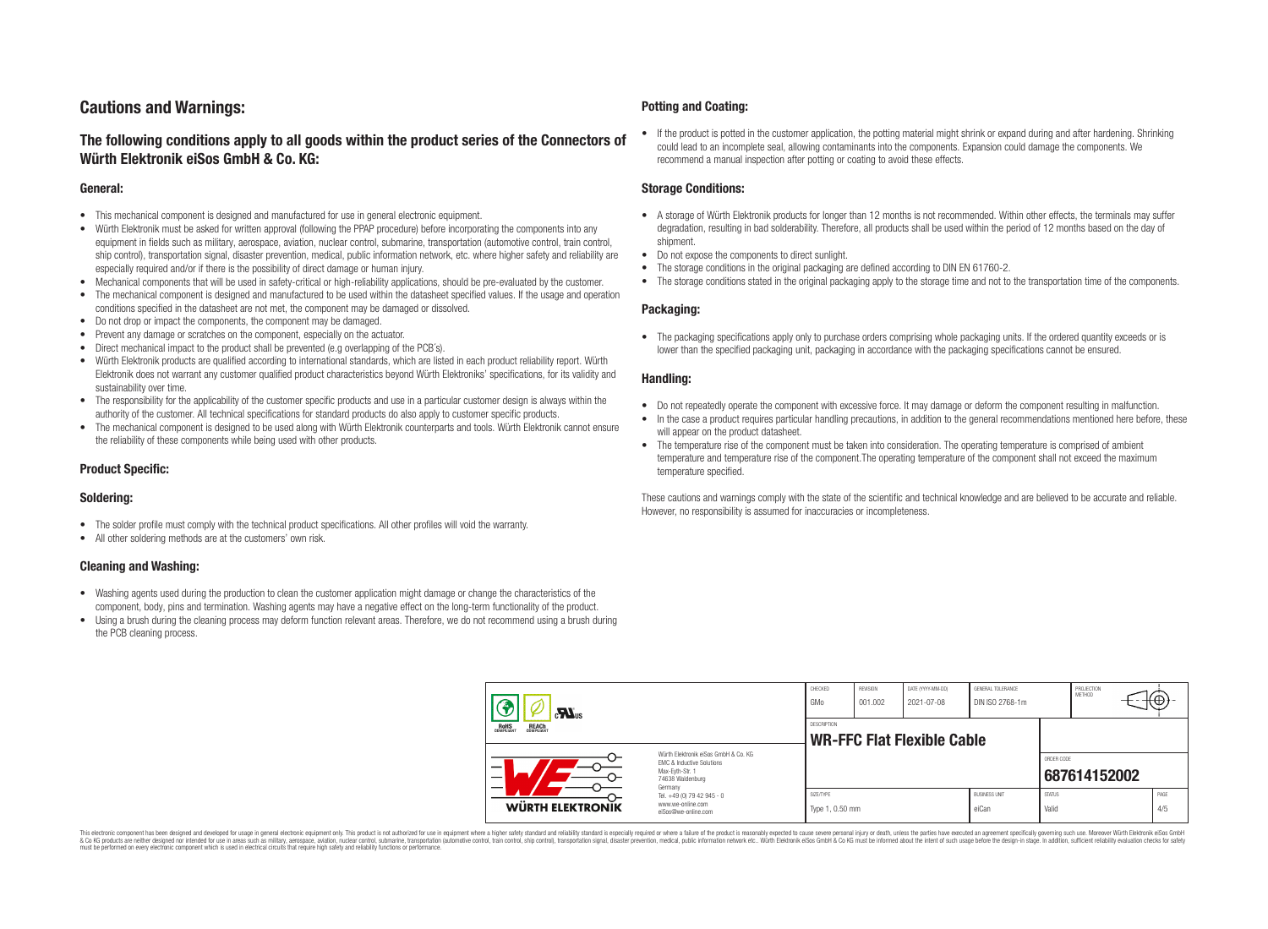# **Cautions and Warnings:**

# **The following conditions apply to all goods within the product series of the Connectors of Würth Elektronik eiSos GmbH & Co. KG:**

### **General:**

- This mechanical component is designed and manufactured for use in general electronic equipment.
- Würth Elektronik must be asked for written approval (following the PPAP procedure) before incorporating the components into any equipment in fields such as military, aerospace, aviation, nuclear control, submarine, transportation (automotive control, train control, ship control), transportation signal, disaster prevention, medical, public information network, etc. where higher safety and reliability are especially required and/or if there is the possibility of direct damage or human injury.
- Mechanical components that will be used in safety-critical or high-reliability applications, should be pre-evaluated by the customer.
- The mechanical component is designed and manufactured to be used within the datasheet specified values. If the usage and operation conditions specified in the datasheet are not met, the component may be damaged or dissolved.
- Do not drop or impact the components, the component may be damaged.
- Prevent any damage or scratches on the component, especially on the actuator.
- Direct mechanical impact to the product shall be prevented (e.g overlapping of the PCB's).
- Würth Elektronik products are qualified according to international standards, which are listed in each product reliability report. Würth Elektronik does not warrant any customer qualified product characteristics beyond Würth Elektroniks' specifications, for its validity and sustainability over time.
- The responsibility for the applicability of the customer specific products and use in a particular customer design is always within the authority of the customer. All technical specifications for standard products do also apply to customer specific products.
- The mechanical component is designed to be used along with Würth Elektronik counterparts and tools. Würth Elektronik cannot ensure the reliability of these components while being used with other products.

## **Product Specific:**

## **Soldering:**

- The solder profile must comply with the technical product specifications. All other profiles will void the warranty.
- All other soldering methods are at the customers' own risk.

## **Cleaning and Washing:**

- Washing agents used during the production to clean the customer application might damage or change the characteristics of the component, body, pins and termination. Washing agents may have a negative effect on the long-term functionality of the product.
- Using a brush during the cleaning process may deform function relevant areas. Therefore, we do not recommend using a brush during the PCB cleaning process.

### **Potting and Coating:**

• If the product is potted in the customer application, the potting material might shrink or expand during and after hardening. Shrinking could lead to an incomplete seal, allowing contaminants into the components. Expansion could damage the components. We recommend a manual inspection after potting or coating to avoid these effects.

#### **Storage Conditions:**

- A storage of Würth Elektronik products for longer than 12 months is not recommended. Within other effects, the terminals may suffer degradation, resulting in bad solderability. Therefore, all products shall be used within the period of 12 months based on the day of shipment.
- Do not expose the components to direct sunlight.
- The storage conditions in the original packaging are defined according to DIN EN 61760-2.
- The storage conditions stated in the original packaging apply to the storage time and not to the transportation time of the components.

## **Packaging:**

• The packaging specifications apply only to purchase orders comprising whole packaging units. If the ordered quantity exceeds or is lower than the specified packaging unit, packaging in accordance with the packaging specifications cannot be ensured.

#### **Handling:**

- Do not repeatedly operate the component with excessive force. It may damage or deform the component resulting in malfunction.
- In the case a product requires particular handling precautions, in addition to the general recommendations mentioned here before, these will appear on the product datasheet
- The temperature rise of the component must be taken into consideration. The operating temperature is comprised of ambient temperature and temperature rise of the component.The operating temperature of the component shall not exceed the maximum temperature specified.

These cautions and warnings comply with the state of the scientific and technical knowledge and are believed to be accurate and reliable. However, no responsibility is assumed for inaccuracies or incompleteness.

| $\mathbf{r}$<br>ROHS<br>COMPLIANT<br><b>REACH</b><br>COMPLIANT<br>Würth Elektronik eiSos GmbH & Co. KG<br>EMC & Inductive Solutions<br>–<br>Max-Eyth-Str. 1<br>74638 Waldenburg |                                                                                   | CHECKED<br>GMo               | <b>REVISION</b><br>001.002 | DATE (YYYY-MM-DD)<br>2021-07-08   | GENERAL TOLERANCE<br>DIN ISO 2768-1m |                        | PROJECTION<br>METHOD | ₩ |             |
|---------------------------------------------------------------------------------------------------------------------------------------------------------------------------------|-----------------------------------------------------------------------------------|------------------------------|----------------------------|-----------------------------------|--------------------------------------|------------------------|----------------------|---|-------------|
|                                                                                                                                                                                 |                                                                                   | <b>DESCRIPTION</b>           |                            | <b>WR-FFC Flat Flexible Cable</b> |                                      |                        |                      |   |             |
|                                                                                                                                                                                 |                                                                                   |                              |                            |                                   |                                      | ORDER CODE             | 687614152002         |   |             |
| <b>WÜRTH ELEKTRONIK</b>                                                                                                                                                         | Germany<br>Tel. +49 (0) 79 42 945 - 0<br>www.we-online.com<br>eiSos@we-online.com | SIZE/TYPE<br>Type 1, 0.50 mm |                            |                                   | <b>BUSINESS UNIT</b><br>eiCan        | <b>STATUS</b><br>Valid |                      |   | PAGE<br>4/5 |

This electronic component has been designed and developed for usage in general electronic equipment only. This product is not authorized for use in equipment where a higher safety standard and reliability standard si espec & Ook product a label and the membed of the seasuch as marked and as which such a membed and the such assume that income in the seasuch and the simulation and the such assume that include to the such a membed and the such